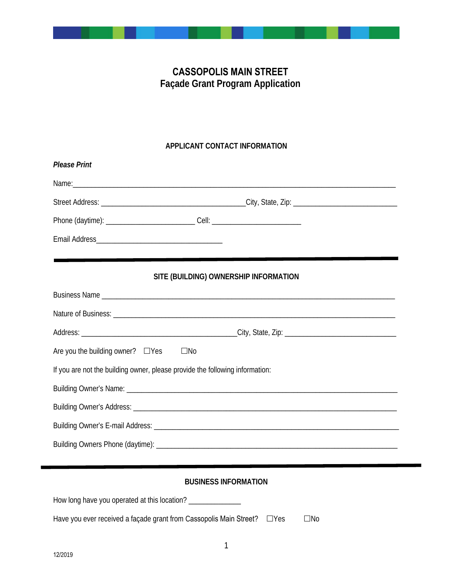# **CASSOPOLIS MAIN STREET Façade Grant Program Application**

## **APPLICANT CONTACT INFORMATION**

| <b>Please Print</b>                                                               |                                       |  |
|-----------------------------------------------------------------------------------|---------------------------------------|--|
|                                                                                   |                                       |  |
|                                                                                   |                                       |  |
| Phone (daytime): ___________________________________Cell: _______________________ |                                       |  |
|                                                                                   |                                       |  |
|                                                                                   | SITE (BUILDING) OWNERSHIP INFORMATION |  |
|                                                                                   |                                       |  |
|                                                                                   |                                       |  |
|                                                                                   |                                       |  |
| Are you the building owner? $\Box$ Yes $\Box$ No                                  |                                       |  |
| If you are not the building owner, please provide the following information:      |                                       |  |
|                                                                                   |                                       |  |
|                                                                                   |                                       |  |
|                                                                                   |                                       |  |
|                                                                                   |                                       |  |
|                                                                                   |                                       |  |
|                                                                                   | DUCINECC INFODIATION                  |  |

## **BUSINESS INFORMATION**

| Have you ever received a façade grant from Cassopolis Main Street? $\Box$ Yes | $\square$ No |
|-------------------------------------------------------------------------------|--------------|

How long have you operated at this location? \_\_\_\_\_\_\_\_\_\_\_\_\_\_\_\_\_\_\_\_\_\_\_\_\_\_\_\_\_\_\_\_\_\_\_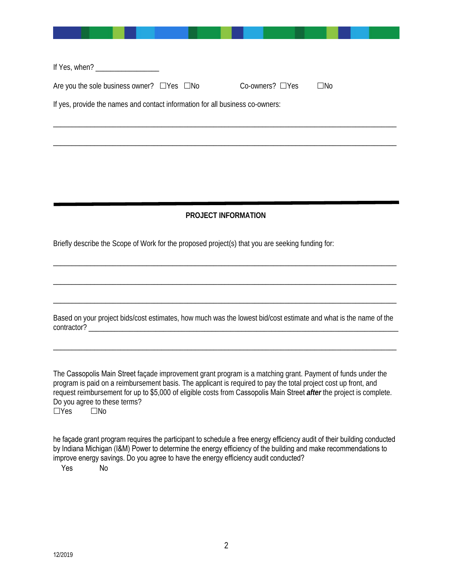| If Yes, when? $\frac{1}{2}$<br>Are you the sole business owner? $\Box$ Yes $\Box$ No<br>$Co-owners? \square Yes$<br>$\square$ No |
|----------------------------------------------------------------------------------------------------------------------------------|
|                                                                                                                                  |
| If yes, provide the names and contact information for all business co-owners:                                                    |
|                                                                                                                                  |

# **PROJECT INFORMATION**

\_\_\_\_\_\_\_\_\_\_\_\_\_\_\_\_\_\_\_\_\_\_\_\_\_\_\_\_\_\_\_\_\_\_\_\_\_\_\_\_\_\_\_\_\_\_\_\_\_\_\_\_\_\_\_\_\_\_\_\_\_\_\_\_\_\_\_\_\_\_\_\_\_\_\_\_\_\_\_\_\_\_\_\_\_\_\_\_\_\_\_\_

\_\_\_\_\_\_\_\_\_\_\_\_\_\_\_\_\_\_\_\_\_\_\_\_\_\_\_\_\_\_\_\_\_\_\_\_\_\_\_\_\_\_\_\_\_\_\_\_\_\_\_\_\_\_\_\_\_\_\_\_\_\_\_\_\_\_\_\_\_\_\_\_\_\_\_\_\_\_\_\_\_\_\_\_\_\_\_\_\_\_\_\_

\_\_\_\_\_\_\_\_\_\_\_\_\_\_\_\_\_\_\_\_\_\_\_\_\_\_\_\_\_\_\_\_\_\_\_\_\_\_\_\_\_\_\_\_\_\_\_\_\_\_\_\_\_\_\_\_\_\_\_\_\_\_\_\_\_\_\_\_\_\_\_\_\_\_\_\_\_\_\_\_\_\_\_\_\_\_\_\_\_\_\_\_

Briefly describe the Scope of Work for the proposed project(s) that you are seeking funding for:

Based on your project bids/cost estimates, how much was the lowest bid/cost estimate and what is the name of the contractor?

\_\_\_\_\_\_\_\_\_\_\_\_\_\_\_\_\_\_\_\_\_\_\_\_\_\_\_\_\_\_\_\_\_\_\_\_\_\_\_\_\_\_\_\_\_\_\_\_\_\_\_\_\_\_\_\_\_\_\_\_\_\_\_\_\_\_\_\_\_\_\_\_\_\_\_\_\_\_\_\_\_\_\_\_\_\_\_\_\_\_\_\_

The Cassopolis Main Street façade improvement grant program is a matching grant. Payment of funds under the program is paid on a reimbursement basis. The applicant is required to pay the total project cost up front, and request reimbursement for up to \$5,000 of eligible costs from Cassopolis Main Street *after* the project is complete. Do you agree to these terms?<br>  $\Box$ Yes  $\Box$ No  $\overline{\Box}$ Yes

he façade grant program requires the participant to schedule a free energy efficiency audit of their building conducted by Indiana Michigan (I&M) Power to determine the energy efficiency of the building and make recommendations to improve energy savings. Do you agree to have the energy efficiency audit conducted?

Yes No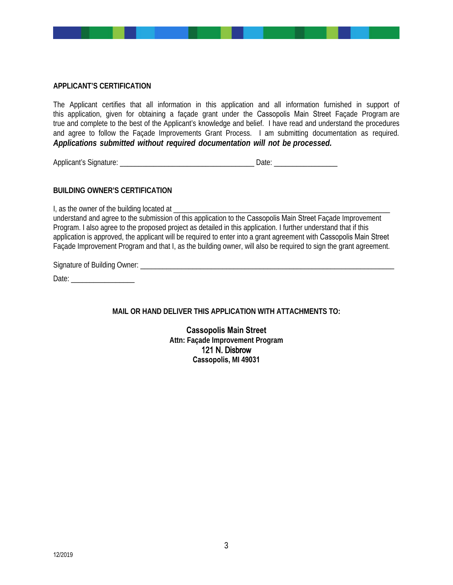#### **APPLICANT'S CERTIFICATION**

The Applicant certifies that all information in this application and all information furnished in support of this application, given for obtaining a façade grant under the Cassopolis Main Street Façade Program are true and complete to the best of the Applicant's knowledge and belief. I have read and understand the procedures and agree to follow the Façade Improvements Grant Process. I am submitting documentation as required. *Applications submitted without required documentation will not be processed.*

Applicant's Signature: \_\_\_\_\_\_\_\_\_\_\_\_\_\_\_\_\_\_\_\_\_\_\_\_\_\_\_\_\_\_\_\_\_\_\_\_ Date: \_\_\_\_\_\_\_\_\_\_\_\_\_\_\_\_\_

## **BUILDING OWNER'S CERTIFICATION**

I, as the owner of the building located at

understand and agree to the submission of this application to the Cassopolis Main Street Façade Improvement Program. I also agree to the proposed project as detailed in this application. I further understand that if this application is approved, the applicant will be required to enter into a grant agreement with Cassopolis Main Street Façade Improvement Program and that I, as the building owner, will also be required to sign the grant agreement.

Signature of Building Owner: \_\_\_\_\_\_\_\_\_\_\_\_\_\_\_\_\_\_\_\_\_\_\_\_\_\_\_\_\_\_\_\_\_\_\_\_\_\_\_\_\_\_\_\_\_\_\_\_\_\_\_\_\_\_\_\_\_\_\_\_\_\_\_\_\_\_\_\_

Date: \_\_\_\_\_\_\_\_\_\_\_\_\_\_\_\_\_

**MAIL OR HAND DELIVER THIS APPLICATION WITH ATTACHMENTS TO:** 

**Cassopolis Main Street Attn: Façade Improvement Program**  121 N. Disbrow **Cassopolis, MI 49031**